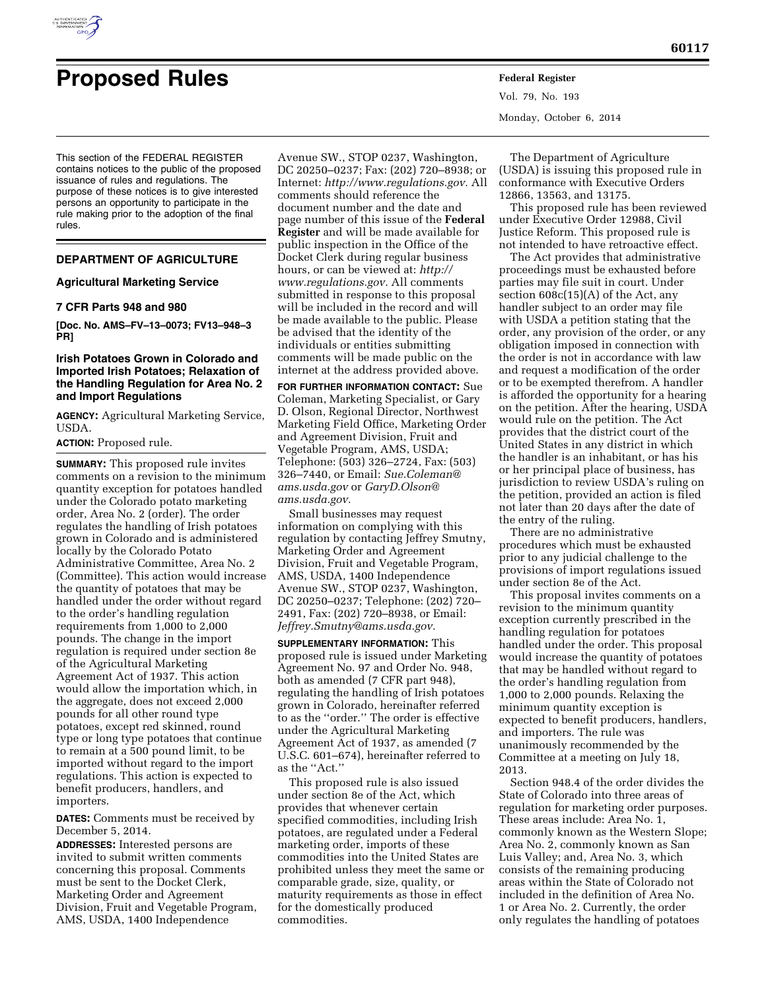

# **Proposed Rules Federal Register**

Vol. 79, No. 193 Monday, October 6, 2014

This section of the FEDERAL REGISTER contains notices to the public of the proposed issuance of rules and regulations. The purpose of these notices is to give interested persons an opportunity to participate in the rule making prior to the adoption of the final rules.

# **DEPARTMENT OF AGRICULTURE**

## **Agricultural Marketing Service**

## **7 CFR Parts 948 and 980**

**[Doc. No. AMS–FV–13–0073; FV13–948–3 PR]** 

# **Irish Potatoes Grown in Colorado and Imported Irish Potatoes; Relaxation of the Handling Regulation for Area No. 2 and Import Regulations**

**AGENCY:** Agricultural Marketing Service, USDA.

## **ACTION:** Proposed rule.

**SUMMARY:** This proposed rule invites comments on a revision to the minimum quantity exception for potatoes handled under the Colorado potato marketing order, Area No. 2 (order). The order regulates the handling of Irish potatoes grown in Colorado and is administered locally by the Colorado Potato Administrative Committee, Area No. 2 (Committee). This action would increase the quantity of potatoes that may be handled under the order without regard to the order's handling regulation requirements from 1,000 to 2,000 pounds. The change in the import regulation is required under section 8e of the Agricultural Marketing Agreement Act of 1937. This action would allow the importation which, in the aggregate, does not exceed 2,000 pounds for all other round type potatoes, except red skinned, round type or long type potatoes that continue to remain at a 500 pound limit, to be imported without regard to the import regulations. This action is expected to benefit producers, handlers, and importers.

**DATES:** Comments must be received by December 5, 2014.

**ADDRESSES:** Interested persons are invited to submit written comments concerning this proposal. Comments must be sent to the Docket Clerk, Marketing Order and Agreement Division, Fruit and Vegetable Program, AMS, USDA, 1400 Independence

Avenue SW., STOP 0237, Washington, DC 20250–0237; Fax: (202) 720–8938; or Internet: *[http://www.regulations.gov.](http://www.regulations.gov)* All comments should reference the document number and the date and page number of this issue of the **Federal Register** and will be made available for public inspection in the Office of the Docket Clerk during regular business hours, or can be viewed at: *[http://](http://www.regulations.gov) [www.regulations.gov.](http://www.regulations.gov)* All comments submitted in response to this proposal will be included in the record and will be made available to the public. Please be advised that the identity of the individuals or entities submitting comments will be made public on the internet at the address provided above.

**FOR FURTHER INFORMATION CONTACT:** Sue Coleman, Marketing Specialist, or Gary D. Olson, Regional Director, Northwest Marketing Field Office, Marketing Order and Agreement Division, Fruit and Vegetable Program, AMS, USDA; Telephone: (503) 326–2724, Fax: (503) 326–7440, or Email: *[Sue.Coleman@](mailto:Sue.Coleman@ams.usda.gov) [ams.usda.gov](mailto:Sue.Coleman@ams.usda.gov)* or *[GaryD.Olson@](mailto:GaryD.Olson@ams.usda.gov) [ams.usda.gov.](mailto:GaryD.Olson@ams.usda.gov)* 

Small businesses may request information on complying with this regulation by contacting Jeffrey Smutny, Marketing Order and Agreement Division, Fruit and Vegetable Program, AMS, USDA, 1400 Independence Avenue SW., STOP 0237, Washington, DC 20250–0237; Telephone: (202) 720– 2491, Fax: (202) 720–8938, or Email: *[Jeffrey.Smutny@ams.usda.gov.](mailto:Jeffrey.Smutny@ams.usda.gov)* 

**SUPPLEMENTARY INFORMATION:** This proposed rule is issued under Marketing Agreement No. 97 and Order No. 948, both as amended (7 CFR part 948), regulating the handling of Irish potatoes grown in Colorado, hereinafter referred to as the ''order.'' The order is effective under the Agricultural Marketing Agreement Act of 1937, as amended (7 U.S.C. 601–674), hereinafter referred to as the ''Act.''

This proposed rule is also issued under section 8e of the Act, which provides that whenever certain specified commodities, including Irish potatoes, are regulated under a Federal marketing order, imports of these commodities into the United States are prohibited unless they meet the same or comparable grade, size, quality, or maturity requirements as those in effect for the domestically produced commodities.

The Department of Agriculture (USDA) is issuing this proposed rule in conformance with Executive Orders 12866, 13563, and 13175.

This proposed rule has been reviewed under Executive Order 12988, Civil Justice Reform. This proposed rule is not intended to have retroactive effect.

The Act provides that administrative proceedings must be exhausted before parties may file suit in court. Under section 608c(15)(A) of the Act, any handler subject to an order may file with USDA a petition stating that the order, any provision of the order, or any obligation imposed in connection with the order is not in accordance with law and request a modification of the order or to be exempted therefrom. A handler is afforded the opportunity for a hearing on the petition. After the hearing, USDA would rule on the petition. The Act provides that the district court of the United States in any district in which the handler is an inhabitant, or has his or her principal place of business, has jurisdiction to review USDA's ruling on the petition, provided an action is filed not later than 20 days after the date of the entry of the ruling.

There are no administrative procedures which must be exhausted prior to any judicial challenge to the provisions of import regulations issued under section 8e of the Act.

This proposal invites comments on a revision to the minimum quantity exception currently prescribed in the handling regulation for potatoes handled under the order. This proposal would increase the quantity of potatoes that may be handled without regard to the order's handling regulation from 1,000 to 2,000 pounds. Relaxing the minimum quantity exception is expected to benefit producers, handlers, and importers. The rule was unanimously recommended by the Committee at a meeting on July 18, 2013.

Section 948.4 of the order divides the State of Colorado into three areas of regulation for marketing order purposes. These areas include: Area No. 1, commonly known as the Western Slope; Area No. 2, commonly known as San Luis Valley; and, Area No. 3, which consists of the remaining producing areas within the State of Colorado not included in the definition of Area No. 1 or Area No. 2. Currently, the order only regulates the handling of potatoes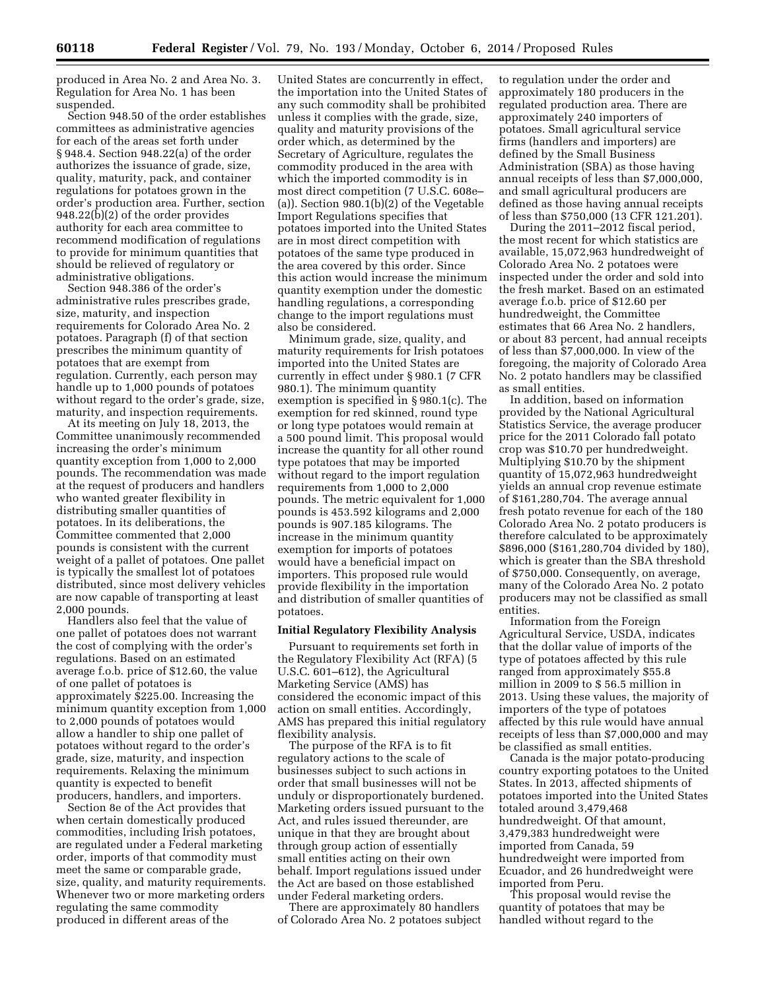produced in Area No. 2 and Area No. 3. Regulation for Area No. 1 has been suspended.

Section 948.50 of the order establishes committees as administrative agencies for each of the areas set forth under § 948.4. Section 948.22(a) of the order authorizes the issuance of grade, size, quality, maturity, pack, and container regulations for potatoes grown in the order's production area. Further, section 948.22(b)(2) of the order provides authority for each area committee to recommend modification of regulations to provide for minimum quantities that should be relieved of regulatory or administrative obligations.

Section 948.386 of the order's administrative rules prescribes grade, size, maturity, and inspection requirements for Colorado Area No. 2 potatoes. Paragraph (f) of that section prescribes the minimum quantity of potatoes that are exempt from regulation. Currently, each person may handle up to 1,000 pounds of potatoes without regard to the order's grade, size, maturity, and inspection requirements.

At its meeting on July 18, 2013, the Committee unanimously recommended increasing the order's minimum quantity exception from 1,000 to 2,000 pounds. The recommendation was made at the request of producers and handlers who wanted greater flexibility in distributing smaller quantities of potatoes. In its deliberations, the Committee commented that 2,000 pounds is consistent with the current weight of a pallet of potatoes. One pallet is typically the smallest lot of potatoes distributed, since most delivery vehicles are now capable of transporting at least 2,000 pounds.

Handlers also feel that the value of one pallet of potatoes does not warrant the cost of complying with the order's regulations. Based on an estimated average f.o.b. price of \$12.60, the value of one pallet of potatoes is approximately \$225.00. Increasing the minimum quantity exception from 1,000 to 2,000 pounds of potatoes would allow a handler to ship one pallet of potatoes without regard to the order's grade, size, maturity, and inspection requirements. Relaxing the minimum quantity is expected to benefit producers, handlers, and importers.

Section 8e of the Act provides that when certain domestically produced commodities, including Irish potatoes, are regulated under a Federal marketing order, imports of that commodity must meet the same or comparable grade, size, quality, and maturity requirements. Whenever two or more marketing orders regulating the same commodity produced in different areas of the

United States are concurrently in effect, the importation into the United States of any such commodity shall be prohibited unless it complies with the grade, size, quality and maturity provisions of the order which, as determined by the Secretary of Agriculture, regulates the commodity produced in the area with which the imported commodity is in most direct competition (7 U.S.C. 608e– (a)). Section 980.1(b)(2) of the Vegetable Import Regulations specifies that potatoes imported into the United States are in most direct competition with potatoes of the same type produced in the area covered by this order. Since this action would increase the minimum quantity exemption under the domestic handling regulations, a corresponding change to the import regulations must also be considered.

Minimum grade, size, quality, and maturity requirements for Irish potatoes imported into the United States are currently in effect under § 980.1 (7 CFR 980.1). The minimum quantity exemption is specified in § 980.1(c). The exemption for red skinned, round type or long type potatoes would remain at a 500 pound limit. This proposal would increase the quantity for all other round type potatoes that may be imported without regard to the import regulation requirements from 1,000 to 2,000 pounds. The metric equivalent for 1,000 pounds is 453.592 kilograms and 2,000 pounds is 907.185 kilograms. The increase in the minimum quantity exemption for imports of potatoes would have a beneficial impact on importers. This proposed rule would provide flexibility in the importation and distribution of smaller quantities of potatoes.

# **Initial Regulatory Flexibility Analysis**

Pursuant to requirements set forth in the Regulatory Flexibility Act (RFA) (5 U.S.C. 601–612), the Agricultural Marketing Service (AMS) has considered the economic impact of this action on small entities. Accordingly, AMS has prepared this initial regulatory flexibility analysis.

The purpose of the RFA is to fit regulatory actions to the scale of businesses subject to such actions in order that small businesses will not be unduly or disproportionately burdened. Marketing orders issued pursuant to the Act, and rules issued thereunder, are unique in that they are brought about through group action of essentially small entities acting on their own behalf. Import regulations issued under the Act are based on those established under Federal marketing orders.

There are approximately 80 handlers of Colorado Area No. 2 potatoes subject

to regulation under the order and approximately 180 producers in the regulated production area. There are approximately 240 importers of potatoes. Small agricultural service firms (handlers and importers) are defined by the Small Business Administration (SBA) as those having annual receipts of less than \$7,000,000, and small agricultural producers are defined as those having annual receipts of less than \$750,000 (13 CFR 121.201).

During the 2011–2012 fiscal period, the most recent for which statistics are available, 15,072,963 hundredweight of Colorado Area No. 2 potatoes were inspected under the order and sold into the fresh market. Based on an estimated average f.o.b. price of \$12.60 per hundredweight, the Committee estimates that 66 Area No. 2 handlers, or about 83 percent, had annual receipts of less than \$7,000,000. In view of the foregoing, the majority of Colorado Area No. 2 potato handlers may be classified as small entities.

In addition, based on information provided by the National Agricultural Statistics Service, the average producer price for the 2011 Colorado fall potato crop was \$10.70 per hundredweight. Multiplying \$10.70 by the shipment quantity of 15,072,963 hundredweight yields an annual crop revenue estimate of \$161,280,704. The average annual fresh potato revenue for each of the 180 Colorado Area No. 2 potato producers is therefore calculated to be approximately \$896,000 (\$161,280,704 divided by 180), which is greater than the SBA threshold of \$750,000. Consequently, on average, many of the Colorado Area No. 2 potato producers may not be classified as small entities.

Information from the Foreign Agricultural Service, USDA, indicates that the dollar value of imports of the type of potatoes affected by this rule ranged from approximately \$55.8 million in 2009 to \$ 56.5 million in 2013. Using these values, the majority of importers of the type of potatoes affected by this rule would have annual receipts of less than \$7,000,000 and may be classified as small entities.

Canada is the major potato-producing country exporting potatoes to the United States. In 2013, affected shipments of potatoes imported into the United States totaled around 3,479,468 hundredweight. Of that amount, 3,479,383 hundredweight were imported from Canada, 59 hundredweight were imported from Ecuador, and 26 hundredweight were imported from Peru.

This proposal would revise the quantity of potatoes that may be handled without regard to the